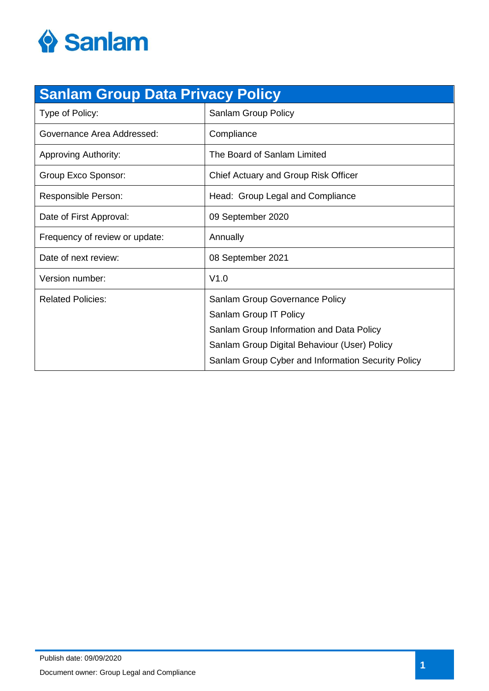

| <b>Sanlam Group Data Privacy Policy</b> |                                                    |  |
|-----------------------------------------|----------------------------------------------------|--|
| Type of Policy:                         | Sanlam Group Policy                                |  |
| Governance Area Addressed:              | Compliance                                         |  |
| <b>Approving Authority:</b>             | The Board of Sanlam Limited                        |  |
| Group Exco Sponsor:                     | Chief Actuary and Group Risk Officer               |  |
| Responsible Person:                     | Head: Group Legal and Compliance                   |  |
| Date of First Approval:                 | 09 September 2020                                  |  |
| Frequency of review or update:          | Annually                                           |  |
| Date of next review:                    | 08 September 2021                                  |  |
| Version number:                         | V1.0                                               |  |
| <b>Related Policies:</b>                | Sanlam Group Governance Policy                     |  |
|                                         | Sanlam Group IT Policy                             |  |
|                                         | Sanlam Group Information and Data Policy           |  |
|                                         | Sanlam Group Digital Behaviour (User) Policy       |  |
|                                         | Sanlam Group Cyber and Information Security Policy |  |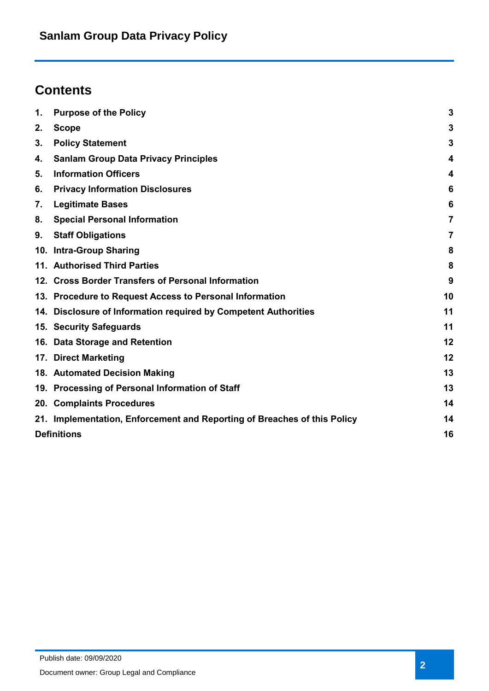# **Contents**

| 1. | <b>Purpose of the Policy</b>                                             | $\mathbf{3}$   |
|----|--------------------------------------------------------------------------|----------------|
| 2. | <b>Scope</b>                                                             | $\mathbf{3}$   |
| 3. | <b>Policy Statement</b>                                                  | $\mathbf{3}$   |
| 4. | <b>Sanlam Group Data Privacy Principles</b>                              | 4              |
| 5. | <b>Information Officers</b>                                              | 4              |
| 6. | <b>Privacy Information Disclosures</b>                                   | 6              |
| 7. | <b>Legitimate Bases</b>                                                  | 6              |
| 8. | <b>Special Personal Information</b>                                      | $\overline{7}$ |
| 9. | <b>Staff Obligations</b>                                                 | 7              |
|    | 10. Intra-Group Sharing                                                  | 8              |
|    | 11. Authorised Third Parties                                             | 8              |
|    | 12. Cross Border Transfers of Personal Information                       | 9              |
|    | 13. Procedure to Request Access to Personal Information                  | 10             |
|    | 14. Disclosure of Information required by Competent Authorities          | 11             |
|    | 15. Security Safeguards                                                  | 11             |
|    | 16. Data Storage and Retention                                           | 12             |
|    | 17. Direct Marketing                                                     | 12             |
|    | 18. Automated Decision Making                                            | 13             |
|    | 19. Processing of Personal Information of Staff                          | 13             |
|    | 20. Complaints Procedures                                                | 14             |
|    | 21. Implementation, Enforcement and Reporting of Breaches of this Policy | 14             |
|    | <b>Definitions</b>                                                       | 16             |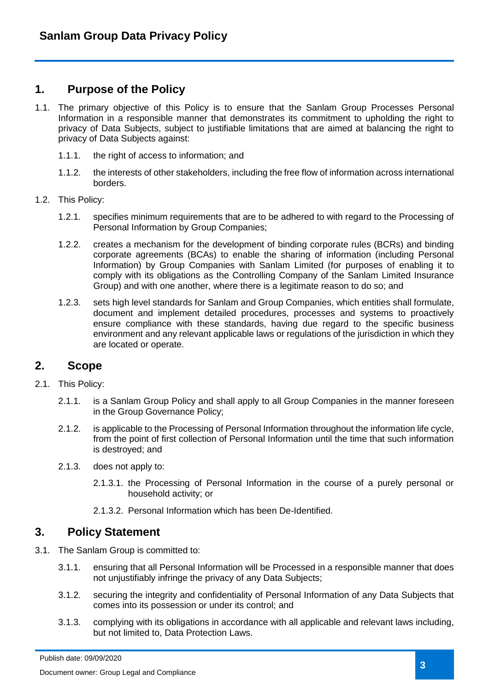### <span id="page-2-0"></span>**1. Purpose of the Policy**

- 1.1. The primary objective of this Policy is to ensure that the Sanlam Group Processes Personal Information in a responsible manner that demonstrates its commitment to upholding the right to privacy of Data Subjects, subject to justifiable limitations that are aimed at balancing the right to privacy of Data Subjects against:
	- 1.1.1. the right of access to information; and
	- 1.1.2. the interests of other stakeholders, including the free flow of information across international borders.
- 1.2. This Policy:
	- 1.2.1. specifies minimum requirements that are to be adhered to with regard to the Processing of Personal Information by Group Companies;
	- 1.2.2. creates a mechanism for the development of binding corporate rules (BCRs) and binding corporate agreements (BCAs) to enable the sharing of information (including Personal Information) by Group Companies with Sanlam Limited (for purposes of enabling it to comply with its obligations as the Controlling Company of the Sanlam Limited Insurance Group) and with one another, where there is a legitimate reason to do so; and
	- 1.2.3. sets high level standards for Sanlam and Group Companies, which entities shall formulate, document and implement detailed procedures, processes and systems to proactively ensure compliance with these standards, having due regard to the specific business environment and any relevant applicable laws or regulations of the jurisdiction in which they are located or operate.

# <span id="page-2-1"></span>**2. Scope**

- 2.1. This Policy:
	- 2.1.1. is a Sanlam Group Policy and shall apply to all Group Companies in the manner foreseen in the Group Governance Policy;
	- 2.1.2. is applicable to the Processing of Personal Information throughout the information life cycle, from the point of first collection of Personal Information until the time that such information is destroyed; and
	- 2.1.3. does not apply to:
		- 2.1.3.1. the Processing of Personal Information in the course of a purely personal or household activity; or
		- 2.1.3.2. Personal Information which has been De-Identified.

### <span id="page-2-2"></span>**3. Policy Statement**

- 3.1. The Sanlam Group is committed to:
	- 3.1.1. ensuring that all Personal Information will be Processed in a responsible manner that does not unjustifiably infringe the privacy of any Data Subjects;
	- 3.1.2. securing the integrity and confidentiality of Personal Information of any Data Subjects that comes into its possession or under its control; and
	- 3.1.3. complying with its obligations in accordance with all applicable and relevant laws including, but not limited to, Data Protection Laws.

Publish date: 09/09/2020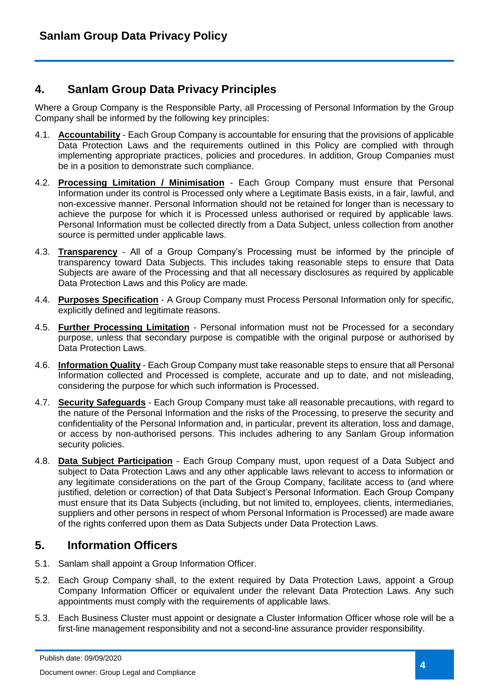# <span id="page-3-0"></span>**4. Sanlam Group Data Privacy Principles**

Where a Group Company is the Responsible Party, all Processing of Personal Information by the Group Company shall be informed by the following key principles:

- 4.1. **Accountability** Each Group Company is accountable for ensuring that the provisions of applicable Data Protection Laws and the requirements outlined in this Policy are complied with through implementing appropriate practices, policies and procedures. In addition, Group Companies must be in a position to demonstrate such compliance.
- 4.2. **Processing Limitation / Minimisation** Each Group Company must ensure that Personal Information under its control is Processed only where a Legitimate Basis exists, in a fair, lawful, and non-excessive manner. Personal Information should not be retained for longer than is necessary to achieve the purpose for which it is Processed unless authorised or required by applicable laws. Personal Information must be collected directly from a Data Subject, unless collection from another source is permitted under applicable laws.
- 4.3. **Transparency** All of a Group Company's Processing must be informed by the principle of transparency toward Data Subjects. This includes taking reasonable steps to ensure that Data Subjects are aware of the Processing and that all necessary disclosures as required by applicable Data Protection Laws and this Policy are made.
- 4.4. **Purposes Specification** A Group Company must Process Personal Information only for specific, explicitly defined and legitimate reasons.
- 4.5. **Further Processing Limitation** Personal information must not be Processed for a secondary purpose, unless that secondary purpose is compatible with the original purpose or authorised by Data Protection Laws.
- 4.6. **Information Quality** Each Group Company must take reasonable steps to ensure that all Personal Information collected and Processed is complete, accurate and up to date, and not misleading, considering the purpose for which such information is Processed.
- 4.7. **Security Safeguards** Each Group Company must take all reasonable precautions, with regard to the nature of the Personal Information and the risks of the Processing, to preserve the security and confidentiality of the Personal Information and, in particular, prevent its alteration, loss and damage, or access by non-authorised persons. This includes adhering to any Sanlam Group information security policies.
- 4.8. **Data Subject Participation** Each Group Company must, upon request of a Data Subject and subject to Data Protection Laws and any other applicable laws relevant to access to information or any legitimate considerations on the part of the Group Company, facilitate access to (and where justified, deletion or correction) of that Data Subject's Personal Information. Each Group Company must ensure that its Data Subjects (including, but not limited to, employees, clients, intermediaries, suppliers and other persons in respect of whom Personal Information is Processed) are made aware of the rights conferred upon them as Data Subjects under Data Protection Laws.

# <span id="page-3-1"></span>**5. Information Officers**

- 5.1. Sanlam shall appoint a Group Information Officer.
- 5.2. Each Group Company shall, to the extent required by Data Protection Laws, appoint a Group Company Information Officer or equivalent under the relevant Data Protection Laws. Any such appointments must comply with the requirements of applicable laws.
- 5.3. Each Business Cluster must appoint or designate a Cluster Information Officer whose role will be a first-line management responsibility and not a second-line assurance provider responsibility.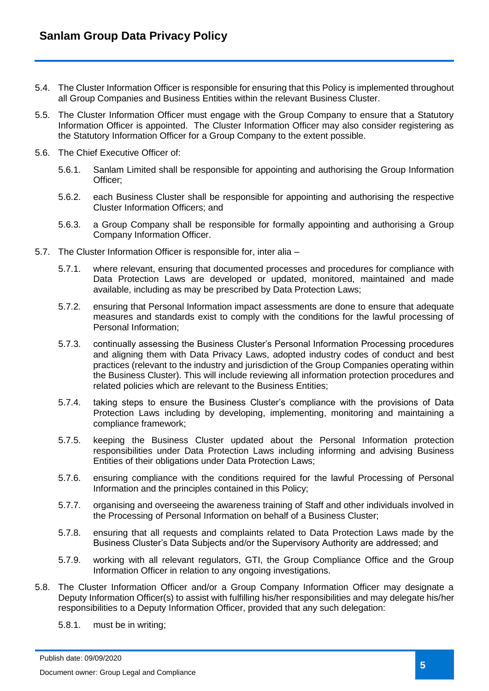- 5.4. The Cluster Information Officer is responsible for ensuring that this Policy is implemented throughout all Group Companies and Business Entities within the relevant Business Cluster.
- 5.5. The Cluster Information Officer must engage with the Group Company to ensure that a Statutory Information Officer is appointed. The Cluster Information Officer may also consider registering as the Statutory Information Officer for a Group Company to the extent possible.
- 5.6. The Chief Executive Officer of:
	- 5.6.1. Sanlam Limited shall be responsible for appointing and authorising the Group Information Officer;
	- 5.6.2. each Business Cluster shall be responsible for appointing and authorising the respective Cluster Information Officers; and
	- 5.6.3. a Group Company shall be responsible for formally appointing and authorising a Group Company Information Officer.
- 5.7. The Cluster Information Officer is responsible for, inter alia
	- 5.7.1. where relevant, ensuring that documented processes and procedures for compliance with Data Protection Laws are developed or updated, monitored, maintained and made available, including as may be prescribed by Data Protection Laws;
	- 5.7.2. ensuring that Personal Information impact assessments are done to ensure that adequate measures and standards exist to comply with the conditions for the lawful processing of Personal Information;
	- 5.7.3. continually assessing the Business Cluster's Personal Information Processing procedures and aligning them with Data Privacy Laws, adopted industry codes of conduct and best practices (relevant to the industry and jurisdiction of the Group Companies operating within the Business Cluster). This will include reviewing all information protection procedures and related policies which are relevant to the Business Entities;
	- 5.7.4. taking steps to ensure the Business Cluster's compliance with the provisions of Data Protection Laws including by developing, implementing, monitoring and maintaining a compliance framework;
	- 5.7.5. keeping the Business Cluster updated about the Personal Information protection responsibilities under Data Protection Laws including informing and advising Business Entities of their obligations under Data Protection Laws;
	- 5.7.6. ensuring compliance with the conditions required for the lawful Processing of Personal Information and the principles contained in this Policy;
	- 5.7.7. organising and overseeing the awareness training of Staff and other individuals involved in the Processing of Personal Information on behalf of a Business Cluster;
	- 5.7.8. ensuring that all requests and complaints related to Data Protection Laws made by the Business Cluster's Data Subjects and/or the Supervisory Authority are addressed; and
	- 5.7.9. working with all relevant regulators, GTI, the Group Compliance Office and the Group Information Officer in relation to any ongoing investigations.
- 5.8. The Cluster Information Officer and/or a Group Company Information Officer may designate a Deputy Information Officer(s) to assist with fulfilling his/her responsibilities and may delegate his/her responsibilities to a Deputy Information Officer, provided that any such delegation:
	- 5.8.1. must be in writing;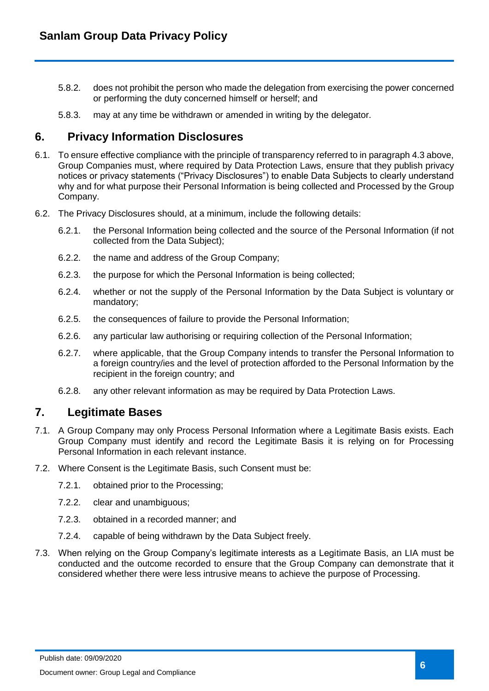- 5.8.2. does not prohibit the person who made the delegation from exercising the power concerned or performing the duty concerned himself or herself; and
- 5.8.3. may at any time be withdrawn or amended in writing by the delegator.

### <span id="page-5-0"></span>**6. Privacy Information Disclosures**

- 6.1. To ensure effective compliance with the principle of transparency referred to in paragraph 4.3 above, Group Companies must, where required by Data Protection Laws, ensure that they publish privacy notices or privacy statements ("Privacy Disclosures") to enable Data Subjects to clearly understand why and for what purpose their Personal Information is being collected and Processed by the Group Company.
- 6.2. The Privacy Disclosures should, at a minimum, include the following details:
	- 6.2.1. the Personal Information being collected and the source of the Personal Information (if not collected from the Data Subject);
	- 6.2.2. the name and address of the Group Company;
	- 6.2.3. the purpose for which the Personal Information is being collected;
	- 6.2.4. whether or not the supply of the Personal Information by the Data Subject is voluntary or mandatory;
	- 6.2.5. the consequences of failure to provide the Personal Information;
	- 6.2.6. any particular law authorising or requiring collection of the Personal Information;
	- 6.2.7. where applicable, that the Group Company intends to transfer the Personal Information to a foreign country/ies and the level of protection afforded to the Personal Information by the recipient in the foreign country; and
	- 6.2.8. any other relevant information as may be required by Data Protection Laws.

### <span id="page-5-1"></span>**7. Legitimate Bases**

- 7.1. A Group Company may only Process Personal Information where a Legitimate Basis exists. Each Group Company must identify and record the Legitimate Basis it is relying on for Processing Personal Information in each relevant instance.
- 7.2. Where Consent is the Legitimate Basis, such Consent must be:
	- 7.2.1. obtained prior to the Processing;
	- 7.2.2. clear and unambiguous;
	- 7.2.3. obtained in a recorded manner; and
	- 7.2.4. capable of being withdrawn by the Data Subject freely.
- 7.3. When relying on the Group Company's legitimate interests as a Legitimate Basis, an LIA must be conducted and the outcome recorded to ensure that the Group Company can demonstrate that it considered whether there were less intrusive means to achieve the purpose of Processing.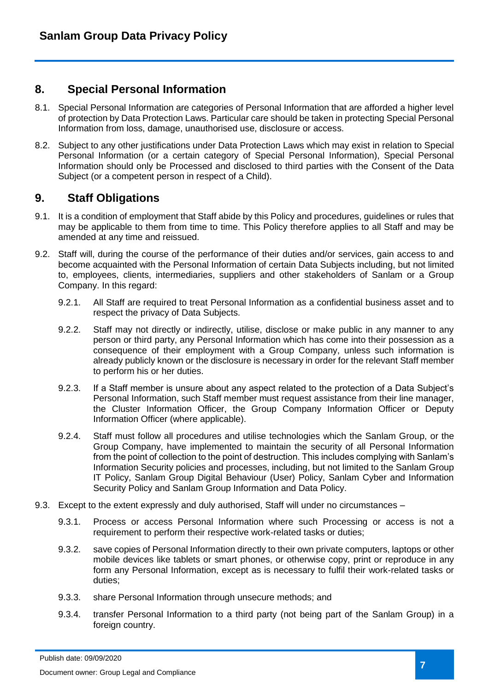### <span id="page-6-0"></span>**8. Special Personal Information**

- 8.1. Special Personal Information are categories of Personal Information that are afforded a higher level of protection by Data Protection Laws. Particular care should be taken in protecting Special Personal Information from loss, damage, unauthorised use, disclosure or access.
- 8.2. Subject to any other justifications under Data Protection Laws which may exist in relation to Special Personal Information (or a certain category of Special Personal Information), Special Personal Information should only be Processed and disclosed to third parties with the Consent of the Data Subject (or a competent person in respect of a Child).

# <span id="page-6-1"></span>**9. Staff Obligations**

- 9.1. It is a condition of employment that Staff abide by this Policy and procedures, guidelines or rules that may be applicable to them from time to time. This Policy therefore applies to all Staff and may be amended at any time and reissued.
- 9.2. Staff will, during the course of the performance of their duties and/or services, gain access to and become acquainted with the Personal Information of certain Data Subjects including, but not limited to, employees, clients, intermediaries, suppliers and other stakeholders of Sanlam or a Group Company. In this regard:
	- 9.2.1. All Staff are required to treat Personal Information as a confidential business asset and to respect the privacy of Data Subjects.
	- 9.2.2. Staff may not directly or indirectly, utilise, disclose or make public in any manner to any person or third party, any Personal Information which has come into their possession as a consequence of their employment with a Group Company, unless such information is already publicly known or the disclosure is necessary in order for the relevant Staff member to perform his or her duties.
	- 9.2.3. If a Staff member is unsure about any aspect related to the protection of a Data Subject's Personal Information, such Staff member must request assistance from their line manager, the Cluster Information Officer, the Group Company Information Officer or Deputy Information Officer (where applicable).
	- 9.2.4. Staff must follow all procedures and utilise technologies which the Sanlam Group, or the Group Company, have implemented to maintain the security of all Personal Information from the point of collection to the point of destruction. This includes complying with Sanlam's Information Security policies and processes, including, but not limited to the Sanlam Group IT Policy, Sanlam Group Digital Behaviour (User) Policy, Sanlam Cyber and Information Security Policy and Sanlam Group Information and Data Policy.
- 9.3. Except to the extent expressly and duly authorised, Staff will under no circumstances
	- 9.3.1. Process or access Personal Information where such Processing or access is not a requirement to perform their respective work-related tasks or duties;
	- 9.3.2. save copies of Personal Information directly to their own private computers, laptops or other mobile devices like tablets or smart phones, or otherwise copy, print or reproduce in any form any Personal Information, except as is necessary to fulfil their work-related tasks or duties;
	- 9.3.3. share Personal Information through unsecure methods; and
	- 9.3.4. transfer Personal Information to a third party (not being part of the Sanlam Group) in a foreign country.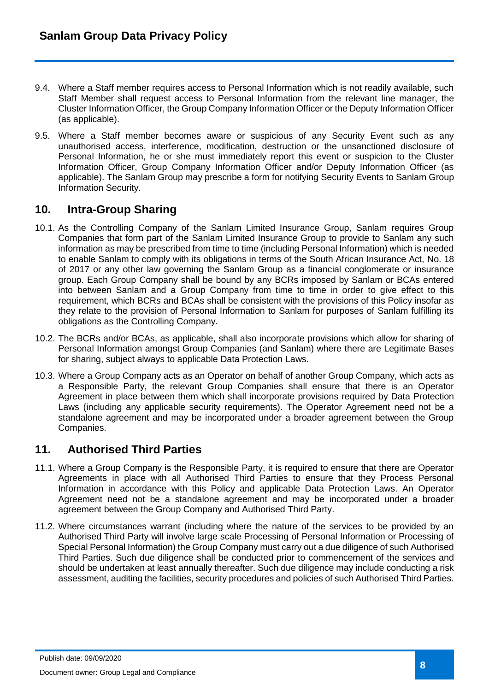- 9.4. Where a Staff member requires access to Personal Information which is not readily available, such Staff Member shall request access to Personal Information from the relevant line manager, the Cluster Information Officer, the Group Company Information Officer or the Deputy Information Officer (as applicable).
- 9.5. Where a Staff member becomes aware or suspicious of any Security Event such as any unauthorised access, interference, modification, destruction or the unsanctioned disclosure of Personal Information, he or she must immediately report this event or suspicion to the Cluster Information Officer, Group Company Information Officer and/or Deputy Information Officer (as applicable). The Sanlam Group may prescribe a form for notifying Security Events to Sanlam Group Information Security.

# <span id="page-7-0"></span>**10. Intra-Group Sharing**

- 10.1. As the Controlling Company of the Sanlam Limited Insurance Group, Sanlam requires Group Companies that form part of the Sanlam Limited Insurance Group to provide to Sanlam any such information as may be prescribed from time to time (including Personal Information) which is needed to enable Sanlam to comply with its obligations in terms of the South African Insurance Act, No. 18 of 2017 or any other law governing the Sanlam Group as a financial conglomerate or insurance group. Each Group Company shall be bound by any BCRs imposed by Sanlam or BCAs entered into between Sanlam and a Group Company from time to time in order to give effect to this requirement, which BCRs and BCAs shall be consistent with the provisions of this Policy insofar as they relate to the provision of Personal Information to Sanlam for purposes of Sanlam fulfilling its obligations as the Controlling Company.
- 10.2. The BCRs and/or BCAs, as applicable, shall also incorporate provisions which allow for sharing of Personal Information amongst Group Companies (and Sanlam) where there are Legitimate Bases for sharing, subject always to applicable Data Protection Laws.
- 10.3. Where a Group Company acts as an Operator on behalf of another Group Company, which acts as a Responsible Party, the relevant Group Companies shall ensure that there is an Operator Agreement in place between them which shall incorporate provisions required by Data Protection Laws (including any applicable security requirements). The Operator Agreement need not be a standalone agreement and may be incorporated under a broader agreement between the Group Companies.

# <span id="page-7-1"></span>**11. Authorised Third Parties**

- 11.1. Where a Group Company is the Responsible Party, it is required to ensure that there are Operator Agreements in place with all Authorised Third Parties to ensure that they Process Personal Information in accordance with this Policy and applicable Data Protection Laws. An Operator Agreement need not be a standalone agreement and may be incorporated under a broader agreement between the Group Company and Authorised Third Party.
- 11.2. Where circumstances warrant (including where the nature of the services to be provided by an Authorised Third Party will involve large scale Processing of Personal Information or Processing of Special Personal Information) the Group Company must carry out a due diligence of such Authorised Third Parties. Such due diligence shall be conducted prior to commencement of the services and should be undertaken at least annually thereafter. Such due diligence may include conducting a risk assessment, auditing the facilities, security procedures and policies of such Authorised Third Parties.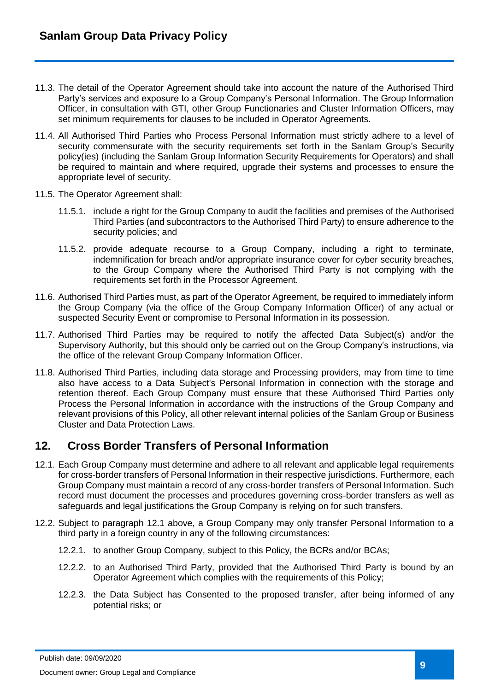- 11.3. The detail of the Operator Agreement should take into account the nature of the Authorised Third Party's services and exposure to a Group Company's Personal Information. The Group Information Officer, in consultation with GTI, other Group Functionaries and Cluster Information Officers, may set minimum requirements for clauses to be included in Operator Agreements.
- 11.4. All Authorised Third Parties who Process Personal Information must strictly adhere to a level of security commensurate with the security requirements set forth in the Sanlam Group's Security policy(ies) (including the Sanlam Group Information Security Requirements for Operators) and shall be required to maintain and where required, upgrade their systems and processes to ensure the appropriate level of security.
- 11.5. The Operator Agreement shall:
	- 11.5.1. include a right for the Group Company to audit the facilities and premises of the Authorised Third Parties (and subcontractors to the Authorised Third Party) to ensure adherence to the security policies; and
	- 11.5.2. provide adequate recourse to a Group Company, including a right to terminate, indemnification for breach and/or appropriate insurance cover for cyber security breaches, to the Group Company where the Authorised Third Party is not complying with the requirements set forth in the Processor Agreement.
- 11.6. Authorised Third Parties must, as part of the Operator Agreement, be required to immediately inform the Group Company (via the office of the Group Company Information Officer) of any actual or suspected Security Event or compromise to Personal Information in its possession.
- 11.7. Authorised Third Parties may be required to notify the affected Data Subject(s) and/or the Supervisory Authority, but this should only be carried out on the Group Company's instructions, via the office of the relevant Group Company Information Officer.
- 11.8. Authorised Third Parties, including data storage and Processing providers, may from time to time also have access to a Data Subject's Personal Information in connection with the storage and retention thereof. Each Group Company must ensure that these Authorised Third Parties only Process the Personal Information in accordance with the instructions of the Group Company and relevant provisions of this Policy, all other relevant internal policies of the Sanlam Group or Business Cluster and Data Protection Laws.

# <span id="page-8-0"></span>**12. Cross Border Transfers of Personal Information**

- 12.1. Each Group Company must determine and adhere to all relevant and applicable legal requirements for cross-border transfers of Personal Information in their respective jurisdictions. Furthermore, each Group Company must maintain a record of any cross-border transfers of Personal Information. Such record must document the processes and procedures governing cross-border transfers as well as safeguards and legal justifications the Group Company is relying on for such transfers.
- 12.2. Subject to paragraph 12.1 above, a Group Company may only transfer Personal Information to a third party in a foreign country in any of the following circumstances:
	- 12.2.1. to another Group Company, subject to this Policy, the BCRs and/or BCAs;
	- 12.2.2. to an Authorised Third Party, provided that the Authorised Third Party is bound by an Operator Agreement which complies with the requirements of this Policy;
	- 12.2.3. the Data Subject has Consented to the proposed transfer, after being informed of any potential risks; or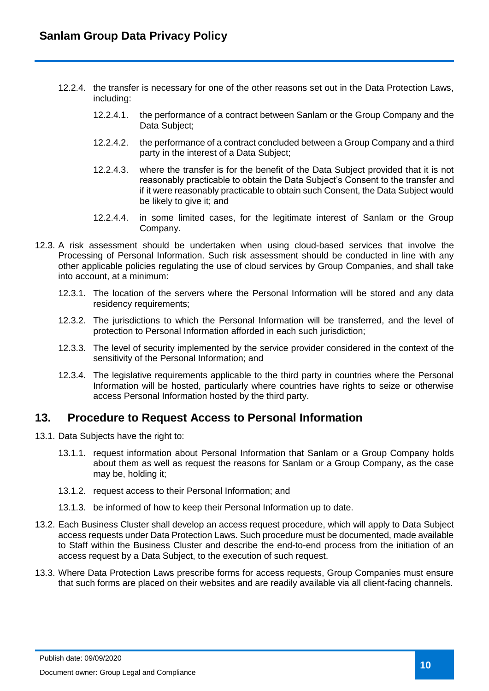- 12.2.4. the transfer is necessary for one of the other reasons set out in the Data Protection Laws, including:
	- 12.2.4.1. the performance of a contract between Sanlam or the Group Company and the Data Subject;
	- 12.2.4.2. the performance of a contract concluded between a Group Company and a third party in the interest of a Data Subject;
	- 12.2.4.3. where the transfer is for the benefit of the Data Subject provided that it is not reasonably practicable to obtain the Data Subject's Consent to the transfer and if it were reasonably practicable to obtain such Consent, the Data Subject would be likely to give it; and
	- 12.2.4.4. in some limited cases, for the legitimate interest of Sanlam or the Group Company.
- 12.3. A risk assessment should be undertaken when using cloud-based services that involve the Processing of Personal Information. Such risk assessment should be conducted in line with any other applicable policies regulating the use of cloud services by Group Companies, and shall take into account, at a minimum:
	- 12.3.1. The location of the servers where the Personal Information will be stored and any data residency requirements;
	- 12.3.2. The jurisdictions to which the Personal Information will be transferred, and the level of protection to Personal Information afforded in each such jurisdiction;
	- 12.3.3. The level of security implemented by the service provider considered in the context of the sensitivity of the Personal Information; and
	- 12.3.4. The legislative requirements applicable to the third party in countries where the Personal Information will be hosted, particularly where countries have rights to seize or otherwise access Personal Information hosted by the third party.

### <span id="page-9-0"></span>**13. Procedure to Request Access to Personal Information**

- 13.1. Data Subjects have the right to:
	- 13.1.1. request information about Personal Information that Sanlam or a Group Company holds about them as well as request the reasons for Sanlam or a Group Company, as the case may be, holding it;
	- 13.1.2. request access to their Personal Information; and
	- 13.1.3. be informed of how to keep their Personal Information up to date.
- 13.2. Each Business Cluster shall develop an access request procedure, which will apply to Data Subject access requests under Data Protection Laws. Such procedure must be documented, made available to Staff within the Business Cluster and describe the end-to-end process from the initiation of an access request by a Data Subject, to the execution of such request.
- 13.3. Where Data Protection Laws prescribe forms for access requests, Group Companies must ensure that such forms are placed on their websites and are readily available via all client-facing channels.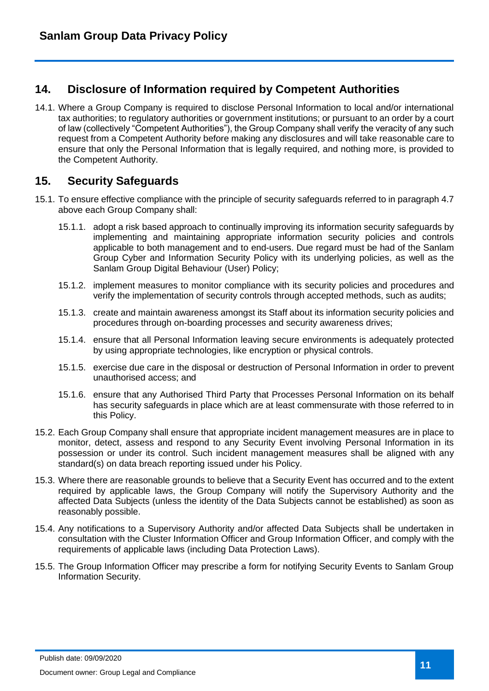# <span id="page-10-0"></span>**14. Disclosure of Information required by Competent Authorities**

14.1. Where a Group Company is required to disclose Personal Information to local and/or international tax authorities; to regulatory authorities or government institutions; or pursuant to an order by a court of law (collectively "Competent Authorities"), the Group Company shall verify the veracity of any such request from a Competent Authority before making any disclosures and will take reasonable care to ensure that only the Personal Information that is legally required, and nothing more, is provided to the Competent Authority.

# <span id="page-10-1"></span>**15. Security Safeguards**

- 15.1. To ensure effective compliance with the principle of security safeguards referred to in paragraph 4.7 above each Group Company shall:
	- 15.1.1. adopt a risk based approach to continually improving its information security safeguards by implementing and maintaining appropriate information security policies and controls applicable to both management and to end-users. Due regard must be had of the Sanlam Group Cyber and Information Security Policy with its underlying policies, as well as the Sanlam Group Digital Behaviour (User) Policy;
	- 15.1.2. implement measures to monitor compliance with its security policies and procedures and verify the implementation of security controls through accepted methods, such as audits;
	- 15.1.3. create and maintain awareness amongst its Staff about its information security policies and procedures through on-boarding processes and security awareness drives;
	- 15.1.4. ensure that all Personal Information leaving secure environments is adequately protected by using appropriate technologies, like encryption or physical controls.
	- 15.1.5. exercise due care in the disposal or destruction of Personal Information in order to prevent unauthorised access; and
	- 15.1.6. ensure that any Authorised Third Party that Processes Personal Information on its behalf has security safeguards in place which are at least commensurate with those referred to in this Policy.
- 15.2. Each Group Company shall ensure that appropriate incident management measures are in place to monitor, detect, assess and respond to any Security Event involving Personal Information in its possession or under its control. Such incident management measures shall be aligned with any standard(s) on data breach reporting issued under his Policy.
- 15.3. Where there are reasonable grounds to believe that a Security Event has occurred and to the extent required by applicable laws, the Group Company will notify the Supervisory Authority and the affected Data Subjects (unless the identity of the Data Subjects cannot be established) as soon as reasonably possible.
- 15.4. Any notifications to a Supervisory Authority and/or affected Data Subjects shall be undertaken in consultation with the Cluster Information Officer and Group Information Officer, and comply with the requirements of applicable laws (including Data Protection Laws).
- 15.5. The Group Information Officer may prescribe a form for notifying Security Events to Sanlam Group Information Security.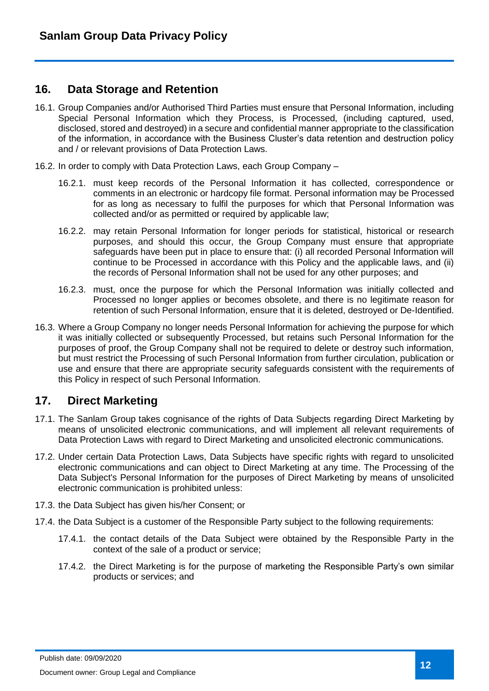### <span id="page-11-0"></span>**16. Data Storage and Retention**

- 16.1. Group Companies and/or Authorised Third Parties must ensure that Personal Information, including Special Personal Information which they Process, is Processed, (including captured, used, disclosed, stored and destroyed) in a secure and confidential manner appropriate to the classification of the information, in accordance with the Business Cluster's data retention and destruction policy and / or relevant provisions of Data Protection Laws.
- 16.2. In order to comply with Data Protection Laws, each Group Company
	- 16.2.1. must keep records of the Personal Information it has collected, correspondence or comments in an electronic or hardcopy file format. Personal information may be Processed for as long as necessary to fulfil the purposes for which that Personal Information was collected and/or as permitted or required by applicable law;
	- 16.2.2. may retain Personal Information for longer periods for statistical, historical or research purposes, and should this occur, the Group Company must ensure that appropriate safeguards have been put in place to ensure that: (i) all recorded Personal Information will continue to be Processed in accordance with this Policy and the applicable laws, and (ii) the records of Personal Information shall not be used for any other purposes; and
	- 16.2.3. must, once the purpose for which the Personal Information was initially collected and Processed no longer applies or becomes obsolete, and there is no legitimate reason for retention of such Personal Information, ensure that it is deleted, destroyed or De-Identified.
- 16.3. Where a Group Company no longer needs Personal Information for achieving the purpose for which it was initially collected or subsequently Processed, but retains such Personal Information for the purposes of proof, the Group Company shall not be required to delete or destroy such information, but must restrict the Processing of such Personal Information from further circulation, publication or use and ensure that there are appropriate security safeguards consistent with the requirements of this Policy in respect of such Personal Information.

# <span id="page-11-1"></span>**17. Direct Marketing**

- 17.1. The Sanlam Group takes cognisance of the rights of Data Subjects regarding Direct Marketing by means of unsolicited electronic communications, and will implement all relevant requirements of Data Protection Laws with regard to Direct Marketing and unsolicited electronic communications.
- 17.2. Under certain Data Protection Laws, Data Subjects have specific rights with regard to unsolicited electronic communications and can object to Direct Marketing at any time. The Processing of the Data Subject's Personal Information for the purposes of Direct Marketing by means of unsolicited electronic communication is prohibited unless:
- 17.3. the Data Subject has given his/her Consent; or
- 17.4. the Data Subject is a customer of the Responsible Party subject to the following requirements:
	- 17.4.1. the contact details of the Data Subject were obtained by the Responsible Party in the context of the sale of a product or service;
	- 17.4.2. the Direct Marketing is for the purpose of marketing the Responsible Party's own similar products or services; and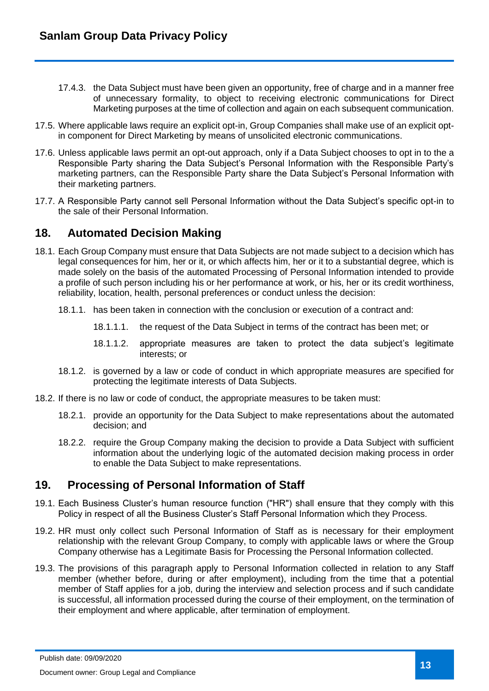- 17.4.3. the Data Subject must have been given an opportunity, free of charge and in a manner free of unnecessary formality, to object to receiving electronic communications for Direct Marketing purposes at the time of collection and again on each subsequent communication.
- 17.5. Where applicable laws require an explicit opt-in, Group Companies shall make use of an explicit optin component for Direct Marketing by means of unsolicited electronic communications.
- 17.6. Unless applicable laws permit an opt-out approach, only if a Data Subject chooses to opt in to the a Responsible Party sharing the Data Subject's Personal Information with the Responsible Party's marketing partners, can the Responsible Party share the Data Subject's Personal Information with their marketing partners.
- 17.7. A Responsible Party cannot sell Personal Information without the Data Subject's specific opt-in to the sale of their Personal Information.

### <span id="page-12-0"></span>**18. Automated Decision Making**

- 18.1. Each Group Company must ensure that Data Subjects are not made subject to a decision which has legal consequences for him, her or it, or which affects him, her or it to a substantial degree, which is made solely on the basis of the automated Processing of Personal Information intended to provide a profile of such person including his or her performance at work, or his, her or its credit worthiness, reliability, location, health, personal preferences or conduct unless the decision:
	- 18.1.1. has been taken in connection with the conclusion or execution of a contract and:
		- 18.1.1.1. the request of the Data Subject in terms of the contract has been met; or
		- 18.1.1.2. appropriate measures are taken to protect the data subject's legitimate interests; or
	- 18.1.2. is governed by a law or code of conduct in which appropriate measures are specified for protecting the legitimate interests of Data Subjects.
- 18.2. If there is no law or code of conduct, the appropriate measures to be taken must:
	- 18.2.1. provide an opportunity for the Data Subject to make representations about the automated decision; and
	- 18.2.2. require the Group Company making the decision to provide a Data Subject with sufficient information about the underlying logic of the automated decision making process in order to enable the Data Subject to make representations.

# <span id="page-12-1"></span>**19. Processing of Personal Information of Staff**

- 19.1. Each Business Cluster's human resource function ("HR") shall ensure that they comply with this Policy in respect of all the Business Cluster's Staff Personal Information which they Process.
- 19.2. HR must only collect such Personal Information of Staff as is necessary for their employment relationship with the relevant Group Company, to comply with applicable laws or where the Group Company otherwise has a Legitimate Basis for Processing the Personal Information collected.
- 19.3. The provisions of this paragraph apply to Personal Information collected in relation to any Staff member (whether before, during or after employment), including from the time that a potential member of Staff applies for a job, during the interview and selection process and if such candidate is successful, all information processed during the course of their employment, on the termination of their employment and where applicable, after termination of employment.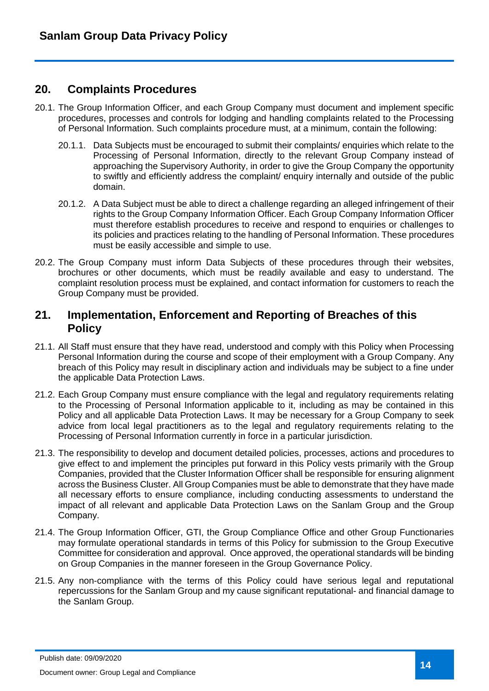### <span id="page-13-0"></span>**20. Complaints Procedures**

- 20.1. The Group Information Officer, and each Group Company must document and implement specific procedures, processes and controls for lodging and handling complaints related to the Processing of Personal Information. Such complaints procedure must, at a minimum, contain the following:
	- 20.1.1. Data Subjects must be encouraged to submit their complaints/ enquiries which relate to the Processing of Personal Information, directly to the relevant Group Company instead of approaching the Supervisory Authority, in order to give the Group Company the opportunity to swiftly and efficiently address the complaint/ enquiry internally and outside of the public domain.
	- 20.1.2. A Data Subject must be able to direct a challenge regarding an alleged infringement of their rights to the Group Company Information Officer. Each Group Company Information Officer must therefore establish procedures to receive and respond to enquiries or challenges to its policies and practices relating to the handling of Personal Information. These procedures must be easily accessible and simple to use.
- 20.2. The Group Company must inform Data Subjects of these procedures through their websites, brochures or other documents, which must be readily available and easy to understand. The complaint resolution process must be explained, and contact information for customers to reach the Group Company must be provided.

#### <span id="page-13-1"></span>**21. Implementation, Enforcement and Reporting of Breaches of this Policy**

- 21.1. All Staff must ensure that they have read, understood and comply with this Policy when Processing Personal Information during the course and scope of their employment with a Group Company. Any breach of this Policy may result in disciplinary action and individuals may be subject to a fine under the applicable Data Protection Laws.
- 21.2. Each Group Company must ensure compliance with the legal and regulatory requirements relating to the Processing of Personal Information applicable to it, including as may be contained in this Policy and all applicable Data Protection Laws. It may be necessary for a Group Company to seek advice from local legal practitioners as to the legal and regulatory requirements relating to the Processing of Personal Information currently in force in a particular jurisdiction.
- 21.3. The responsibility to develop and document detailed policies, processes, actions and procedures to give effect to and implement the principles put forward in this Policy vests primarily with the Group Companies, provided that the Cluster Information Officer shall be responsible for ensuring alignment across the Business Cluster. All Group Companies must be able to demonstrate that they have made all necessary efforts to ensure compliance, including conducting assessments to understand the impact of all relevant and applicable Data Protection Laws on the Sanlam Group and the Group Company.
- 21.4. The Group Information Officer, GTI, the Group Compliance Office and other Group Functionaries may formulate operational standards in terms of this Policy for submission to the Group Executive Committee for consideration and approval. Once approved, the operational standards will be binding on Group Companies in the manner foreseen in the Group Governance Policy.
- 21.5. Any non-compliance with the terms of this Policy could have serious legal and reputational repercussions for the Sanlam Group and my cause significant reputational- and financial damage to the Sanlam Group.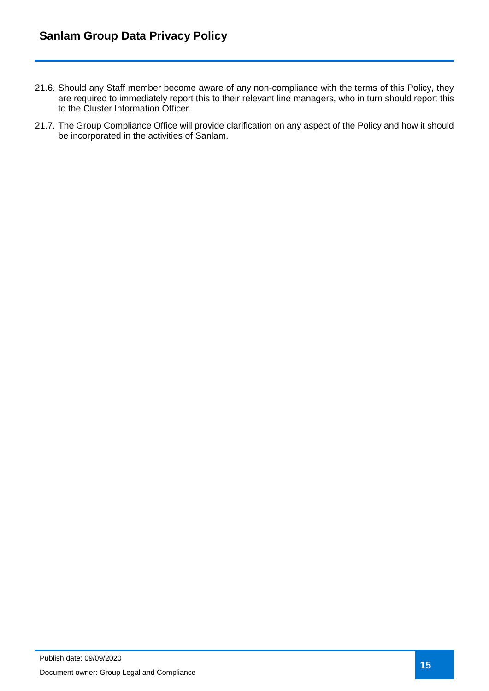- 21.6. Should any Staff member become aware of any non-compliance with the terms of this Policy, they are required to immediately report this to their relevant line managers, who in turn should report this to the Cluster Information Officer.
- 21.7. The Group Compliance Office will provide clarification on any aspect of the Policy and how it should be incorporated in the activities of Sanlam.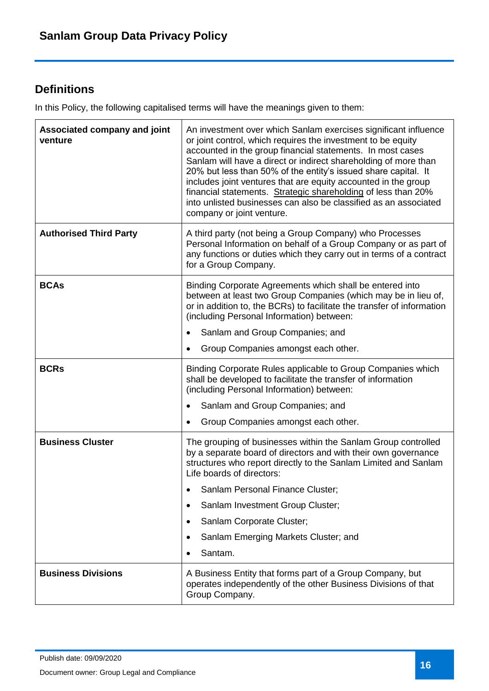# <span id="page-15-0"></span>**Definitions**

In this Policy, the following capitalised terms will have the meanings given to them:

| Associated company and joint<br>venture | An investment over which Sanlam exercises significant influence<br>or joint control, which requires the investment to be equity<br>accounted in the group financial statements. In most cases<br>Sanlam will have a direct or indirect shareholding of more than<br>20% but less than 50% of the entity's issued share capital. It<br>includes joint ventures that are equity accounted in the group<br>financial statements. Strategic shareholding of less than 20%<br>into unlisted businesses can also be classified as an associated<br>company or joint venture. |
|-----------------------------------------|------------------------------------------------------------------------------------------------------------------------------------------------------------------------------------------------------------------------------------------------------------------------------------------------------------------------------------------------------------------------------------------------------------------------------------------------------------------------------------------------------------------------------------------------------------------------|
| <b>Authorised Third Party</b>           | A third party (not being a Group Company) who Processes<br>Personal Information on behalf of a Group Company or as part of<br>any functions or duties which they carry out in terms of a contract<br>for a Group Company.                                                                                                                                                                                                                                                                                                                                              |
| <b>BCAs</b>                             | Binding Corporate Agreements which shall be entered into<br>between at least two Group Companies (which may be in lieu of,<br>or in addition to, the BCRs) to facilitate the transfer of information<br>(including Personal Information) between:                                                                                                                                                                                                                                                                                                                      |
|                                         | Sanlam and Group Companies; and                                                                                                                                                                                                                                                                                                                                                                                                                                                                                                                                        |
|                                         | Group Companies amongst each other.                                                                                                                                                                                                                                                                                                                                                                                                                                                                                                                                    |
| <b>BCRs</b>                             | Binding Corporate Rules applicable to Group Companies which<br>shall be developed to facilitate the transfer of information<br>(including Personal Information) between:                                                                                                                                                                                                                                                                                                                                                                                               |
|                                         | Sanlam and Group Companies; and                                                                                                                                                                                                                                                                                                                                                                                                                                                                                                                                        |
|                                         | Group Companies amongst each other.                                                                                                                                                                                                                                                                                                                                                                                                                                                                                                                                    |
| <b>Business Cluster</b>                 | The grouping of businesses within the Sanlam Group controlled<br>by a separate board of directors and with their own governance<br>structures who report directly to the Sanlam Limited and Sanlam<br>Life boards of directors:                                                                                                                                                                                                                                                                                                                                        |
|                                         | Sanlam Personal Finance Cluster;                                                                                                                                                                                                                                                                                                                                                                                                                                                                                                                                       |
|                                         | Sanlam Investment Group Cluster;<br>٠                                                                                                                                                                                                                                                                                                                                                                                                                                                                                                                                  |
|                                         | Sanlam Corporate Cluster;                                                                                                                                                                                                                                                                                                                                                                                                                                                                                                                                              |
|                                         | Sanlam Emerging Markets Cluster; and                                                                                                                                                                                                                                                                                                                                                                                                                                                                                                                                   |
|                                         | Santam.                                                                                                                                                                                                                                                                                                                                                                                                                                                                                                                                                                |
| <b>Business Divisions</b>               | A Business Entity that forms part of a Group Company, but<br>operates independently of the other Business Divisions of that<br>Group Company.                                                                                                                                                                                                                                                                                                                                                                                                                          |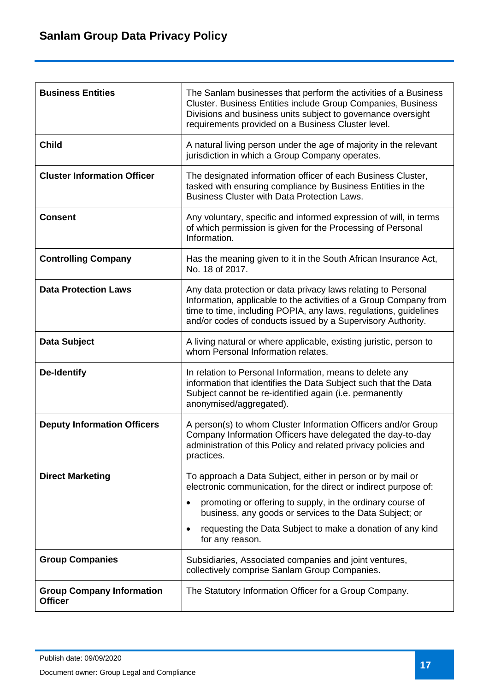| <b>Business Entities</b>                           | The Sanlam businesses that perform the activities of a Business<br>Cluster. Business Entities include Group Companies, Business<br>Divisions and business units subject to governance oversight<br>requirements provided on a Business Cluster level.                 |
|----------------------------------------------------|-----------------------------------------------------------------------------------------------------------------------------------------------------------------------------------------------------------------------------------------------------------------------|
| <b>Child</b>                                       | A natural living person under the age of majority in the relevant<br>jurisdiction in which a Group Company operates.                                                                                                                                                  |
| <b>Cluster Information Officer</b>                 | The designated information officer of each Business Cluster,<br>tasked with ensuring compliance by Business Entities in the<br><b>Business Cluster with Data Protection Laws.</b>                                                                                     |
| <b>Consent</b>                                     | Any voluntary, specific and informed expression of will, in terms<br>of which permission is given for the Processing of Personal<br>Information.                                                                                                                      |
| <b>Controlling Company</b>                         | Has the meaning given to it in the South African Insurance Act,<br>No. 18 of 2017.                                                                                                                                                                                    |
| <b>Data Protection Laws</b>                        | Any data protection or data privacy laws relating to Personal<br>Information, applicable to the activities of a Group Company from<br>time to time, including POPIA, any laws, regulations, guidelines<br>and/or codes of conducts issued by a Supervisory Authority. |
| Data Subject                                       | A living natural or where applicable, existing juristic, person to<br>whom Personal Information relates.                                                                                                                                                              |
| <b>De-Identify</b>                                 | In relation to Personal Information, means to delete any<br>information that identifies the Data Subject such that the Data<br>Subject cannot be re-identified again (i.e. permanently<br>anonymised/aggregated).                                                     |
| <b>Deputy Information Officers</b>                 | A person(s) to whom Cluster Information Officers and/or Group<br>Company Information Officers have delegated the day-to-day<br>administration of this Policy and related privacy policies and<br>practices.                                                           |
| <b>Direct Marketing</b>                            | To approach a Data Subject, either in person or by mail or<br>electronic communication, for the direct or indirect purpose of:                                                                                                                                        |
|                                                    | promoting or offering to supply, in the ordinary course of<br>business, any goods or services to the Data Subject; or                                                                                                                                                 |
|                                                    | requesting the Data Subject to make a donation of any kind<br>for any reason.                                                                                                                                                                                         |
| <b>Group Companies</b>                             | Subsidiaries, Associated companies and joint ventures,<br>collectively comprise Sanlam Group Companies.                                                                                                                                                               |
| <b>Group Company Information</b><br><b>Officer</b> | The Statutory Information Officer for a Group Company.                                                                                                                                                                                                                |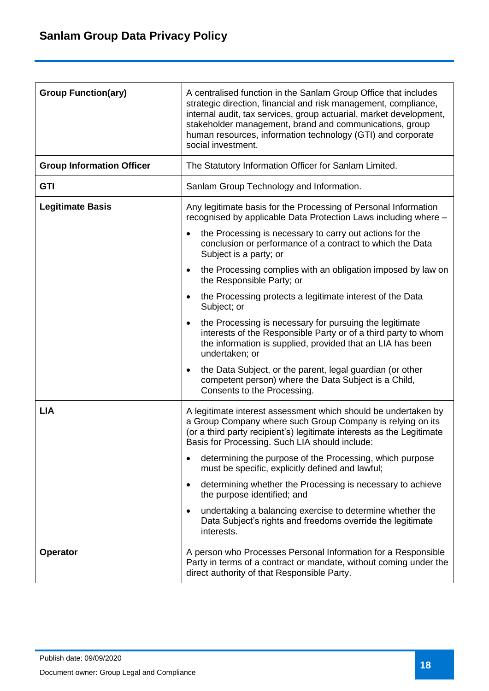| <b>Group Function(ary)</b>       | A centralised function in the Sanlam Group Office that includes<br>strategic direction, financial and risk management, compliance,<br>internal audit, tax services, group actuarial, market development,<br>stakeholder management, brand and communications, group<br>human resources, information technology (GTI) and corporate<br>social investment. |
|----------------------------------|----------------------------------------------------------------------------------------------------------------------------------------------------------------------------------------------------------------------------------------------------------------------------------------------------------------------------------------------------------|
| <b>Group Information Officer</b> | The Statutory Information Officer for Sanlam Limited.                                                                                                                                                                                                                                                                                                    |
| <b>GTI</b>                       | Sanlam Group Technology and Information.                                                                                                                                                                                                                                                                                                                 |
| <b>Legitimate Basis</b>          | Any legitimate basis for the Processing of Personal Information<br>recognised by applicable Data Protection Laws including where -                                                                                                                                                                                                                       |
|                                  | the Processing is necessary to carry out actions for the<br>conclusion or performance of a contract to which the Data<br>Subject is a party; or                                                                                                                                                                                                          |
|                                  | the Processing complies with an obligation imposed by law on<br>$\bullet$<br>the Responsible Party; or                                                                                                                                                                                                                                                   |
|                                  | the Processing protects a legitimate interest of the Data<br>Subject; or                                                                                                                                                                                                                                                                                 |
|                                  | the Processing is necessary for pursuing the legitimate<br>٠<br>interests of the Responsible Party or of a third party to whom<br>the information is supplied, provided that an LIA has been<br>undertaken; or                                                                                                                                           |
|                                  | the Data Subject, or the parent, legal guardian (or other<br>$\bullet$<br>competent person) where the Data Subject is a Child,<br>Consents to the Processing.                                                                                                                                                                                            |
| <b>LIA</b>                       | A legitimate interest assessment which should be undertaken by<br>a Group Company where such Group Company is relying on its<br>(or a third party recipient's) legitimate interests as the Legitimate<br>Basis for Processing. Such LIA should include:                                                                                                  |
|                                  | determining the purpose of the Processing, which purpose<br>٠<br>must be specific, explicitly defined and lawful;                                                                                                                                                                                                                                        |
|                                  | determining whether the Processing is necessary to achieve<br>٠<br>the purpose identified; and                                                                                                                                                                                                                                                           |
|                                  | undertaking a balancing exercise to determine whether the<br>Data Subject's rights and freedoms override the legitimate<br>interests.                                                                                                                                                                                                                    |
| <b>Operator</b>                  | A person who Processes Personal Information for a Responsible<br>Party in terms of a contract or mandate, without coming under the<br>direct authority of that Responsible Party.                                                                                                                                                                        |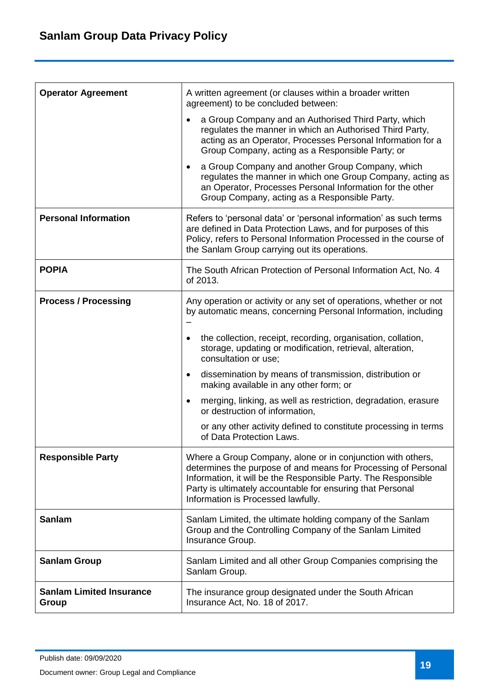| <b>Operator Agreement</b>                | A written agreement (or clauses within a broader written<br>agreement) to be concluded between:                                                                                                                                                                                                     |
|------------------------------------------|-----------------------------------------------------------------------------------------------------------------------------------------------------------------------------------------------------------------------------------------------------------------------------------------------------|
|                                          | a Group Company and an Authorised Third Party, which<br>regulates the manner in which an Authorised Third Party,<br>acting as an Operator, Processes Personal Information for a<br>Group Company, acting as a Responsible Party; or                                                                 |
|                                          | a Group Company and another Group Company, which<br>regulates the manner in which one Group Company, acting as<br>an Operator, Processes Personal Information for the other<br>Group Company, acting as a Responsible Party.                                                                        |
| <b>Personal Information</b>              | Refers to 'personal data' or 'personal information' as such terms<br>are defined in Data Protection Laws, and for purposes of this<br>Policy, refers to Personal Information Processed in the course of<br>the Sanlam Group carrying out its operations.                                            |
| <b>POPIA</b>                             | The South African Protection of Personal Information Act, No. 4<br>of 2013.                                                                                                                                                                                                                         |
| <b>Process / Processing</b>              | Any operation or activity or any set of operations, whether or not<br>by automatic means, concerning Personal Information, including                                                                                                                                                                |
|                                          | the collection, receipt, recording, organisation, collation,<br>$\bullet$<br>storage, updating or modification, retrieval, alteration,<br>consultation or use;                                                                                                                                      |
|                                          | dissemination by means of transmission, distribution or<br>٠<br>making available in any other form; or                                                                                                                                                                                              |
|                                          | merging, linking, as well as restriction, degradation, erasure<br>$\bullet$<br>or destruction of information,                                                                                                                                                                                       |
|                                          | or any other activity defined to constitute processing in terms<br>of Data Protection Laws.                                                                                                                                                                                                         |
| <b>Responsible Party</b>                 | Where a Group Company, alone or in conjunction with others,<br>determines the purpose of and means for Processing of Personal<br>Information, it will be the Responsible Party. The Responsible<br>Party is ultimately accountable for ensuring that Personal<br>Information is Processed lawfully. |
| <b>Sanlam</b>                            | Sanlam Limited, the ultimate holding company of the Sanlam<br>Group and the Controlling Company of the Sanlam Limited<br>Insurance Group.                                                                                                                                                           |
| <b>Sanlam Group</b>                      | Sanlam Limited and all other Group Companies comprising the<br>Sanlam Group.                                                                                                                                                                                                                        |
| <b>Sanlam Limited Insurance</b><br>Group | The insurance group designated under the South African<br>Insurance Act, No. 18 of 2017.                                                                                                                                                                                                            |